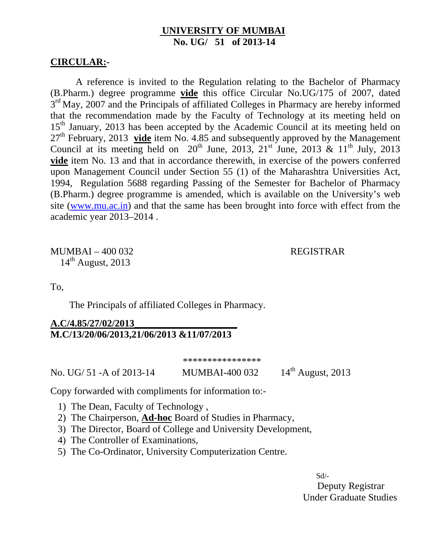### **UNIVERSITY OF MUMBAI No. UG/ 51 of 2013-14**

#### **CIRCULAR:-**

A reference is invited to the Regulation relating to the Bachelor of Pharmacy (B.Pharm.) degree programme **vide** this office Circular No.UG/175 of 2007, dated  $3<sup>rd</sup>$  May, 2007 and the Principals of affiliated Colleges in Pharmacy are hereby informed that the recommendation made by the Faculty of Technology at its meeting held on 15<sup>th</sup> January, 2013 has been accepted by the Academic Council at its meeting held on 27th February, 2013 **vide** item No. 4.85 and subsequently approved by the Management Council at its meeting held on  $20<sup>th</sup>$  June,  $2013$ ,  $21<sup>st</sup>$  June,  $2013$  &  $11<sup>th</sup>$  July,  $2013$ **vide** item No. 13 and that in accordance therewith, in exercise of the powers conferred upon Management Council under Section 55 (1) of the Maharashtra Universities Act, 1994, Regulation 5688 regarding Passing of the Semester for Bachelor of Pharmacy (B.Pharm.) degree programme is amended, which is available on the University's web site (www.mu.ac.in) and that the same has been brought into force with effect from the academic year 2013–2014 .

MUMBAI – 400 032 REGISTRAR  $14<sup>th</sup>$  August, 2013

To,

The Principals of affiliated Colleges in Pharmacy.

## **A.C/4.85/27/02/2013\_\_\_\_\_\_\_\_\_\_\_\_\_\_\_\_\_\_\_\_\_ M.C/13/20/06/2013,21/06/2013 &11/07/2013**

\*\*\*\*\*\*\*\*\*\*\*\*\*\*\*\*

No. UG/ 51 - A of 2013-14 MUMBAI-400 032 14<sup>th</sup> August, 2013

Copy forwarded with compliments for information to:-

- 1) The Dean, Faculty of Technology ,
- 2) The Chairperson, **Ad-hoc** Board of Studies in Pharmacy,
- 3) The Director, Board of College and University Development,
- 4) The Controller of Examinations,
- 5) The Co-Ordinator, University Computerization Centre.

 Sd/- Deputy Registrar Under Graduate Studies